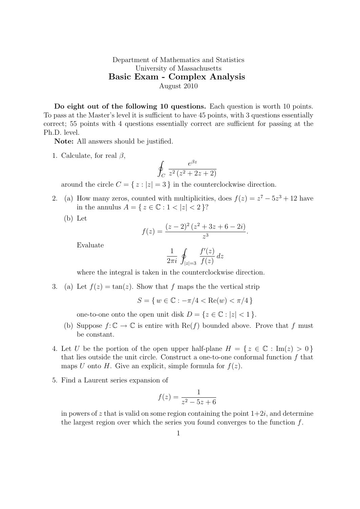Department of Mathematics and Statistics University of Massachusetts Basic Exam - Complex Analysis August 2010

Do eight out of the following 10 questions. Each question is worth 10 points. To pass at the Master's level it is sufficient to have 45 points, with 3 questions essentially correct; 55 points with 4 questions essentially correct are sufficient for passing at the Ph.D. level.

Note: All answers should be justified.

1. Calculate, for real  $\beta$ ,

$$
\oint_C \frac{e^{\beta z}}{z^2(z^2+2z+2)}
$$

around the circle  $C = \{ z : |z| = 3 \}$  in the counterclockwise direction.

- 2. (a) How many zeros, counted with multiplicities, does  $f(z) = z^7 5z^3 + 12$  have in the annulus  $A = \{ z \in \mathbb{C} : 1 < |z| < 2 \}$ ?
	- (b) Let

$$
f(z) = \frac{(z-2)^2(z^2+3z+6-2i)}{z^3}.
$$

Evaluate

$$
\frac{1}{2\pi i} \oint_{|z|=3} \frac{f'(z)}{f(z)} dz
$$

where the integral is taken in the counterclockwise direction.

3. (a) Let  $f(z) = \tan(z)$ . Show that f maps the the vertical strip

 $S = \{ w \in \mathbb{C} : -\pi/4 < \text{Re}(w) < \pi/4 \}$ 

one-to-one onto the open unit disk  $D = \{z \in \mathbb{C} : |z| < 1\}.$ 

- (b) Suppose  $f: \mathbb{C} \to \mathbb{C}$  is entire with  $\text{Re}(f)$  bounded above. Prove that f must be constant.
- 4. Let U be the portion of the open upper half-plane  $H = \{ z \in \mathbb{C} : \text{Im}(z) > 0 \}$ that lies outside the unit circle. Construct a one-to-one conformal function  $f$  that maps U onto H. Give an explicit, simple formula for  $f(z)$ .
- 5. Find a Laurent series expansion of

$$
f(z) = \frac{1}{z^2 - 5z + 6}
$$

in powers of z that is valid on some region containing the point  $1+2i$ , and determine the largest region over which the series you found converges to the function  $f$ .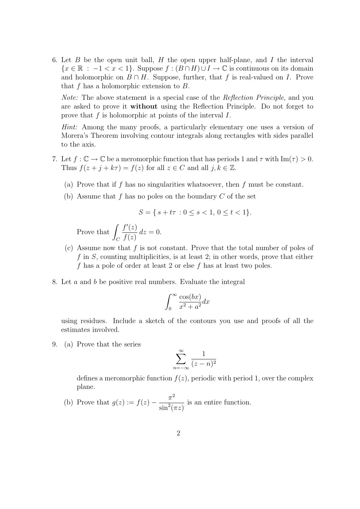6. Let B be the open unit ball, H the open upper half-plane, and I the interval  ${x \in \mathbb{R} : -1 < x < 1}$ . Suppose  $f : (B \cap H) \cup I \to \mathbb{C}$  is continuous on its domain and holomorphic on  $B \cap H$ . Suppose, further, that f is real-valued on I. Prove that f has a holomorphic extension to  $B$ .

Note: The above statement is a special case of the Reflection Principle, and you are asked to prove it without using the Reflection Principle. Do not forget to prove that  $f$  is holomorphic at points of the interval  $I$ .

Hint: Among the many proofs, a particularly elementary one uses a version of Morera's Theorem involving contour integrals along rectangles with sides parallel to the axis.

- 7. Let  $f: \mathbb{C} \to \mathbb{C}$  be a meromorphic function that has periods 1 and  $\tau$  with  $\text{Im}(\tau) > 0$ . Thus  $f(z + j + k\tau) = f(z)$  for all  $z \in C$  and all  $j, k \in \mathbb{Z}$ .
	- (a) Prove that if f has no singularities whatsoever, then f must be constant.
	- (b) Assume that f has no poles on the boundary  $C$  of the set

$$
S = \{ s + t\tau : 0 \le s < 1, 0 \le t < 1 \}.
$$

Prove that  $\mathcal{C}_{0}^{(n)}$  $f'(z)$  $f(z)$  $dz = 0$ .

- (c) Assume now that  $f$  is not constant. Prove that the total number of poles of f in  $S$ , counting multiplicities, is at least 2; in other words, prove that either f has a pole of order at least 2 or else f has at least two poles.
- 8. Let a and b be positive real numbers. Evaluate the integral

$$
\int_0^\infty \frac{\cos(bx)}{x^2 + a^2} dx
$$

using residues. Include a sketch of the contours you use and proofs of all the estimates involved.

9. (a) Prove that the series

$$
\sum_{n=-\infty}^{\infty} \frac{1}{(z-n)^2}
$$

defines a meromorphic function  $f(z)$ , periodic with period 1, over the complex plane.

(b) Prove that  $g(z) := f(z) - \frac{\pi^2}{z}$  $\sin^2(\pi z)$ is an entire function.